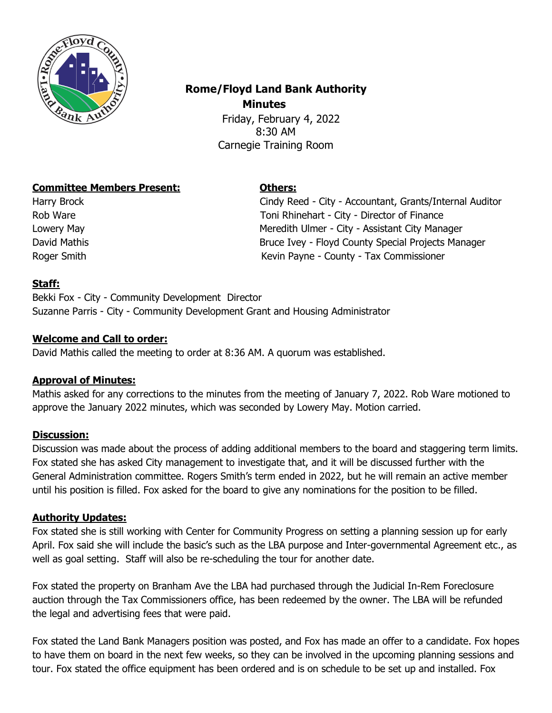

# **Rome/Floyd Land Bank Authority Minutes**

 Friday, February 4, 2022 8:30 AM Carnegie Training Room

## **Committee Members Present: Others:**

Harry Brock Cindy Reed - City - Accountant, Grants/Internal Auditor Rob Ware **Toni Rhinehart - City - Director of Finance** Lowery May **Meredith Ulmer - City - Assistant City Manager** Meredith Ulmer - City - Assistant City Manager David Mathis Bruce Ivey - Floyd County Special Projects Manager Roger Smith **Kevin Payne - County - Tax Commissioner** Kevin Payne - County - Tax Commissioner

## **Staff:**

Bekki Fox - City - Community Development Director Suzanne Parris - City - Community Development Grant and Housing Administrator

## **Welcome and Call to order:**

David Mathis called the meeting to order at 8:36 AM. A quorum was established.

#### **Approval of Minutes:**

Mathis asked for any corrections to the minutes from the meeting of January 7, 2022. Rob Ware motioned to approve the January 2022 minutes, which was seconded by Lowery May. Motion carried.

#### **Discussion:**

Discussion was made about the process of adding additional members to the board and staggering term limits. Fox stated she has asked City management to investigate that, and it will be discussed further with the General Administration committee. Rogers Smith's term ended in 2022, but he will remain an active member until his position is filled. Fox asked for the board to give any nominations for the position to be filled.

# **Authority Updates:**

Fox stated she is still working with Center for Community Progress on setting a planning session up for early April. Fox said she will include the basic's such as the LBA purpose and Inter-governmental Agreement etc., as well as goal setting. Staff will also be re-scheduling the tour for another date.

Fox stated the property on Branham Ave the LBA had purchased through the Judicial In-Rem Foreclosure auction through the Tax Commissioners office, has been redeemed by the owner. The LBA will be refunded the legal and advertising fees that were paid.

Fox stated the Land Bank Managers position was posted, and Fox has made an offer to a candidate. Fox hopes to have them on board in the next few weeks, so they can be involved in the upcoming planning sessions and tour. Fox stated the office equipment has been ordered and is on schedule to be set up and installed. Fox